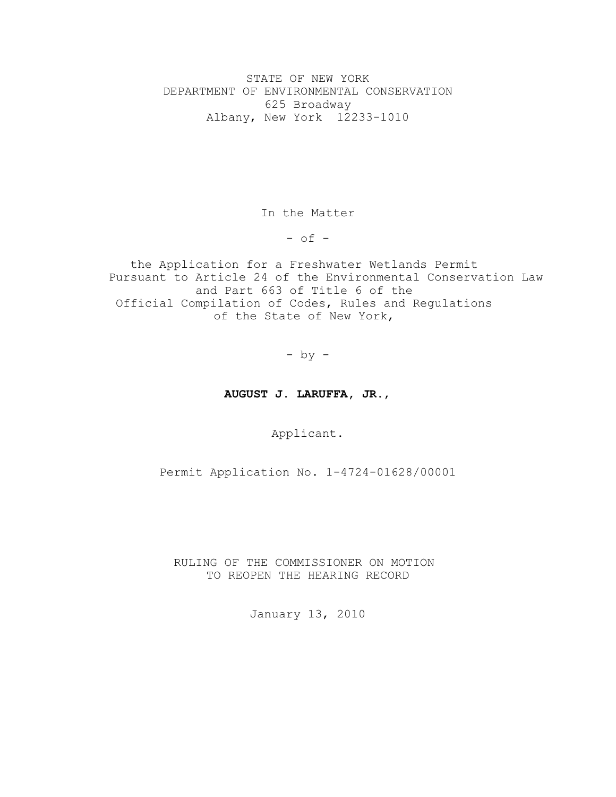STATE OF NEW YORK DEPARTMENT OF ENVIRONMENTAL CONSERVATION 625 Broadway Albany, New York 12233-1010

In the Matter

 $-$  of  $-$ 

the Application for a Freshwater Wetlands Permit Pursuant to Article 24 of the Environmental Conservation Law and Part 663 of Title 6 of the Official Compilation of Codes, Rules and Regulations of the State of New York,

- by -

# **AUGUST J. LARUFFA, JR.**,

Applicant.

Permit Application No. 1-4724-01628/00001

RULING OF THE COMMISSIONER ON MOTION TO REOPEN THE HEARING RECORD

January 13, 2010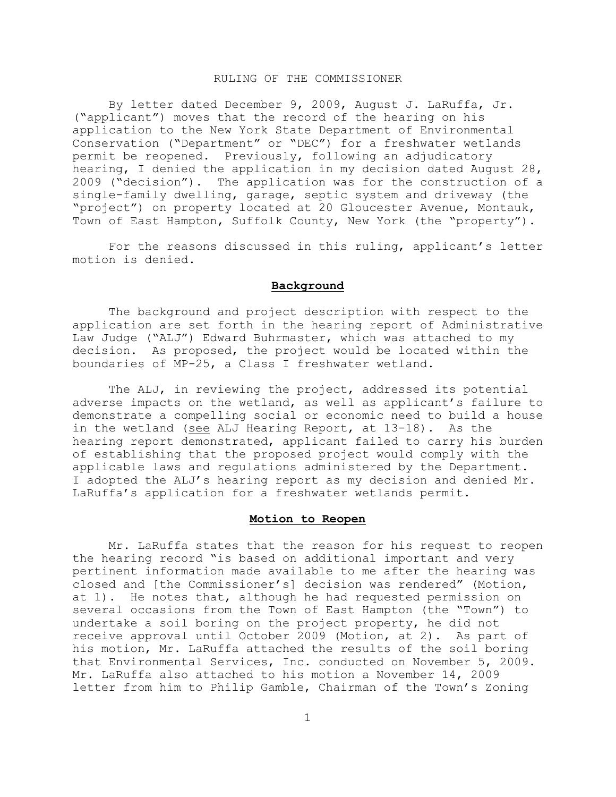## RULING OF THE COMMISSIONER

By letter dated December 9, 2009, August J. LaRuffa, Jr. ("applicant") moves that the record of the hearing on his application to the New York State Department of Environmental Conservation ("Department" or "DEC") for a freshwater wetlands permit be reopened. Previously, following an adjudicatory hearing, I denied the application in my decision dated August 28, 2009 ("decision"). The application was for the construction of a single-family dwelling, garage, septic system and driveway (the "project") on property located at 20 Gloucester Avenue, Montauk, Town of East Hampton, Suffolk County, New York (the "property").

For the reasons discussed in this ruling, applicant's letter motion is denied.

# **Background**

The background and project description with respect to the application are set forth in the hearing report of Administrative Law Judge ("ALJ") Edward Buhrmaster, which was attached to my decision. As proposed, the project would be located within the boundaries of MP-25, a Class I freshwater wetland.

The ALJ, in reviewing the project, addressed its potential adverse impacts on the wetland, as well as applicant's failure to demonstrate a compelling social or economic need to build a house in the wetland (see ALJ Hearing Report, at 13-18). As the hearing report demonstrated, applicant failed to carry his burden of establishing that the proposed project would comply with the applicable laws and regulations administered by the Department. I adopted the ALJ's hearing report as my decision and denied Mr. LaRuffa's application for a freshwater wetlands permit.

#### **Motion to Reopen**

Mr. LaRuffa states that the reason for his request to reopen the hearing record "is based on additional important and very pertinent information made available to me after the hearing was closed and [the Commissioner's] decision was rendered" (Motion, at 1). He notes that, although he had requested permission on several occasions from the Town of East Hampton (the "Town") to undertake a soil boring on the project property, he did not receive approval until October 2009 (Motion, at 2). As part of his motion, Mr. LaRuffa attached the results of the soil boring that Environmental Services, Inc. conducted on November 5, 2009. Mr. LaRuffa also attached to his motion a November 14, 2009 letter from him to Philip Gamble, Chairman of the Town's Zoning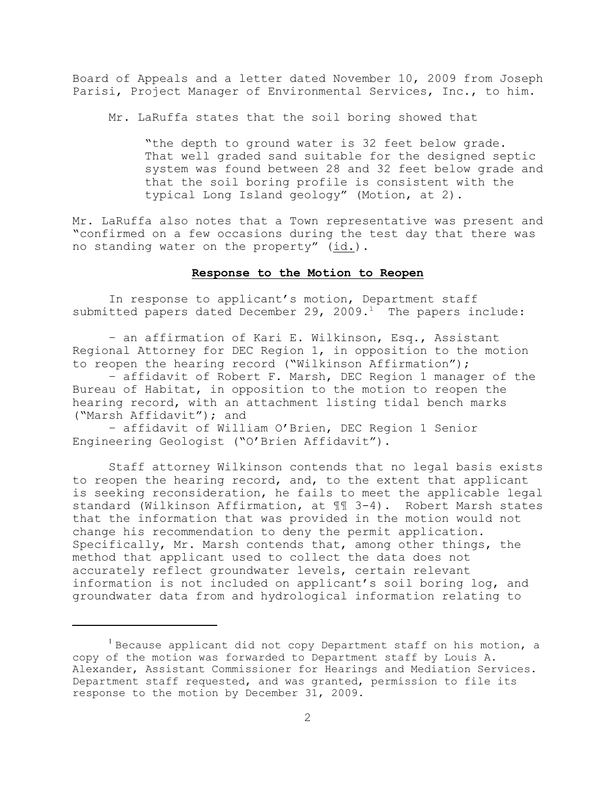Board of Appeals and a letter dated November 10, 2009 from Joseph Parisi, Project Manager of Environmental Services, Inc., to him.

Mr. LaRuffa states that the soil boring showed that

"the depth to ground water is 32 feet below grade. That well graded sand suitable for the designed septic system was found between 28 and 32 feet below grade and that the soil boring profile is consistent with the typical Long Island geology" (Motion, at 2).

Mr. LaRuffa also notes that a Town representative was present and "confirmed on a few occasions during the test day that there was no standing water on the property" (id.).

#### **Response to the Motion to Reopen**

In response to applicant's motion, Department staff submitted papers dated December 29, 2009.<sup>1</sup> The papers include:

– an affirmation of Kari E. Wilkinson, Esq., Assistant Regional Attorney for DEC Region 1, in opposition to the motion to reopen the hearing record ("Wilkinson Affirmation");

– affidavit of Robert F. Marsh, DEC Region 1 manager of the Bureau of Habitat, in opposition to the motion to reopen the hearing record, with an attachment listing tidal bench marks ("Marsh Affidavit"); and

– affidavit of William O'Brien, DEC Region 1 Senior Engineering Geologist ("O'Brien Affidavit").

Staff attorney Wilkinson contends that no legal basis exists to reopen the hearing record, and, to the extent that applicant is seeking reconsideration, he fails to meet the applicable legal standard (Wilkinson Affirmation, at ¶¶ 3-4). Robert Marsh states that the information that was provided in the motion would not change his recommendation to deny the permit application. Specifically, Mr. Marsh contends that, among other things, the method that applicant used to collect the data does not accurately reflect groundwater levels, certain relevant information is not included on applicant's soil boring log, and groundwater data from and hydrological information relating to

 $^{\text{1}}$  Because applicant did not copy Department staff on his motion, a copy of the motion was forwarded to Department staff by Louis A. Alexander, Assistant Commissioner for Hearings and Mediation Services. Department staff requested, and was granted, permission to file its response to the motion by December 31, 2009.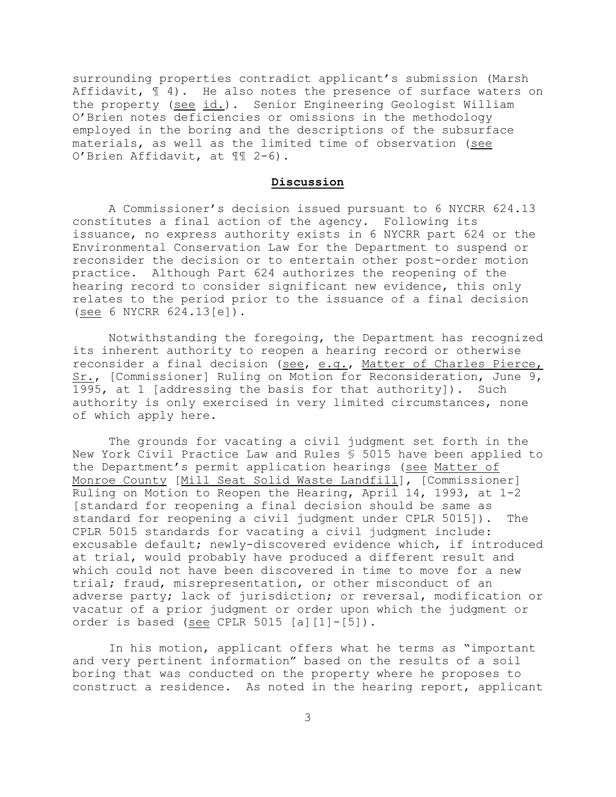surrounding properties contradict applicant's submission (Marsh Affidavit,  $\lbrack\! \lbrack\; \rbrack\;$  4). He also notes the presence of surface waters on the property (see id.). Senior Engineering Geologist William O'Brien notes deficiencies or omissions in the methodology employed in the boring and the descriptions of the subsurface materials, as well as the limited time of observation (see O'Brien Affidavit, at ¶¶ 2-6).

## **Discussion**

A Commissioner's decision issued pursuant to 6 NYCRR 624.13 constitutes a final action of the agency. Following its issuance, no express authority exists in 6 NYCRR part 624 or the Environmental Conservation Law for the Department to suspend or reconsider the decision or to entertain other post-order motion practice. Although Part 624 authorizes the reopening of the hearing record to consider significant new evidence, this only relates to the period prior to the issuance of a final decision (see 6 NYCRR 624.13[e]).

Notwithstanding the foregoing, the Department has recognized its inherent authority to reopen a hearing record or otherwise reconsider a final decision (see, e.g., Matter of Charles Pierce, Sr., [Commissioner] Ruling on Motion for Reconsideration, June 9, 1995, at 1 [addressing the basis for that authority]). Such authority is only exercised in very limited circumstances, none of which apply here.

The grounds for vacating a civil judgment set forth in the New York Civil Practice Law and Rules § 5015 have been applied to the Department's permit application hearings (see Matter of Monroe County [Mill Seat Solid Waste Landfill], [Commissioner] Ruling on Motion to Reopen the Hearing, April 14, 1993, at 1-2 [standard for reopening a final decision should be same as standard for reopening a civil judgment under CPLR 5015]). The CPLR 5015 standards for vacating a civil judgment include: excusable default; newly-discovered evidence which, if introduced at trial, would probably have produced a different result and which could not have been discovered in time to move for a new trial; fraud, misrepresentation, or other misconduct of an adverse party; lack of jurisdiction; or reversal, modification or vacatur of a prior judgment or order upon which the judgment or order is based (see CPLR 5015 [a][1]-[5]).

In his motion, applicant offers what he terms as "important and very pertinent information" based on the results of a soil boring that was conducted on the property where he proposes to construct a residence. As noted in the hearing report, applicant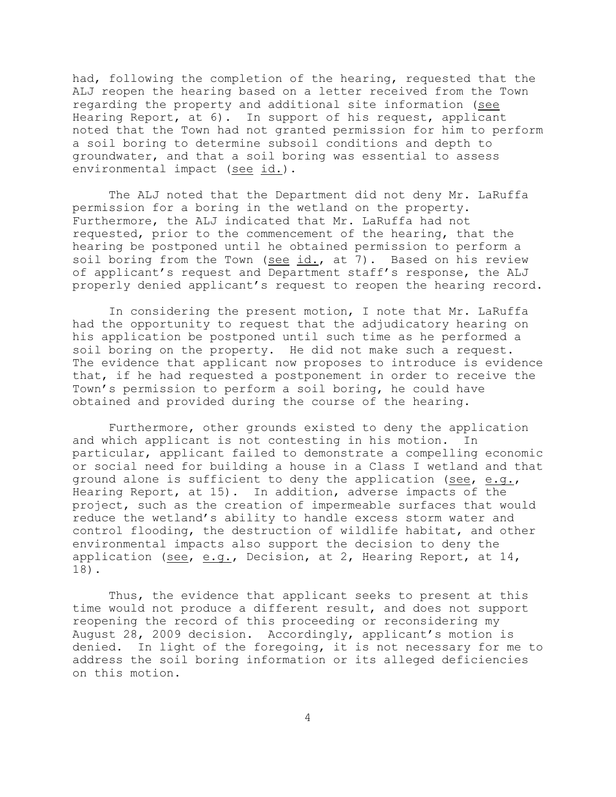had, following the completion of the hearing, requested that the ALJ reopen the hearing based on a letter received from the Town regarding the property and additional site information (see Hearing Report, at 6). In support of his request, applicant noted that the Town had not granted permission for him to perform a soil boring to determine subsoil conditions and depth to groundwater, and that a soil boring was essential to assess environmental impact (see id.).

The ALJ noted that the Department did not deny Mr. LaRuffa permission for a boring in the wetland on the property. Furthermore, the ALJ indicated that Mr. LaRuffa had not requested, prior to the commencement of the hearing, that the hearing be postponed until he obtained permission to perform a soil boring from the Town (see  $id.$ , at 7). Based on his review of applicant's request and Department staff's response, the ALJ properly denied applicant's request to reopen the hearing record.

In considering the present motion, I note that Mr. LaRuffa had the opportunity to request that the adjudicatory hearing on his application be postponed until such time as he performed a soil boring on the property. He did not make such a request. The evidence that applicant now proposes to introduce is evidence that, if he had requested a postponement in order to receive the Town's permission to perform a soil boring, he could have obtained and provided during the course of the hearing.

Furthermore, other grounds existed to deny the application and which applicant is not contesting in his motion. In particular, applicant failed to demonstrate a compelling economic or social need for building a house in a Class I wetland and that ground alone is sufficient to deny the application (see, e.g., Hearing Report, at 15). In addition, adverse impacts of the project, such as the creation of impermeable surfaces that would reduce the wetland's ability to handle excess storm water and control flooding, the destruction of wildlife habitat, and other environmental impacts also support the decision to deny the application (see, e.g., Decision, at 2, Hearing Report, at 14, 18).

Thus, the evidence that applicant seeks to present at this time would not produce a different result, and does not support reopening the record of this proceeding or reconsidering my August 28, 2009 decision. Accordingly, applicant's motion is denied. In light of the foregoing, it is not necessary for me to address the soil boring information or its alleged deficiencies on this motion.